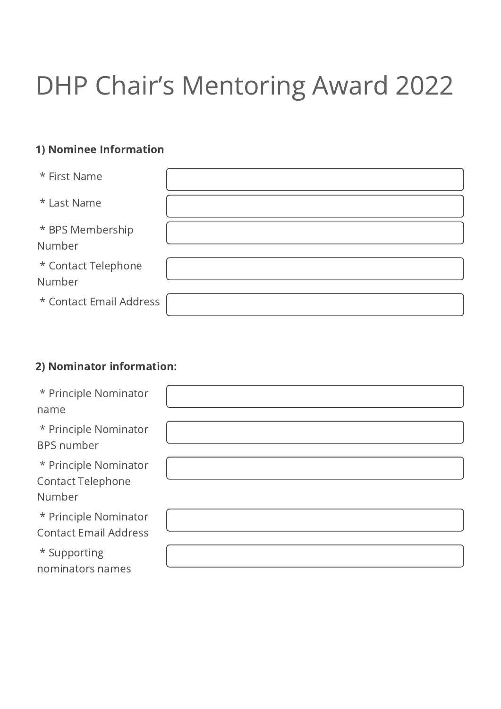## DHP Chair's Mentoring Award 2022

## 1) Nominee Information

| * First Name                  |  |
|-------------------------------|--|
| * Last Name                   |  |
| * BPS Membership<br>Number    |  |
| * Contact Telephone<br>Number |  |
| * Contact Email Address       |  |

## 2) Nominator information:

| * Principle Nominator                                       |  |
|-------------------------------------------------------------|--|
| name                                                        |  |
| * Principle Nominator<br><b>BPS</b> number                  |  |
| * Principle Nominator<br><b>Contact Telephone</b><br>Number |  |
| * Principle Nominator<br><b>Contact Email Address</b>       |  |
| * Supporting<br>nominators names                            |  |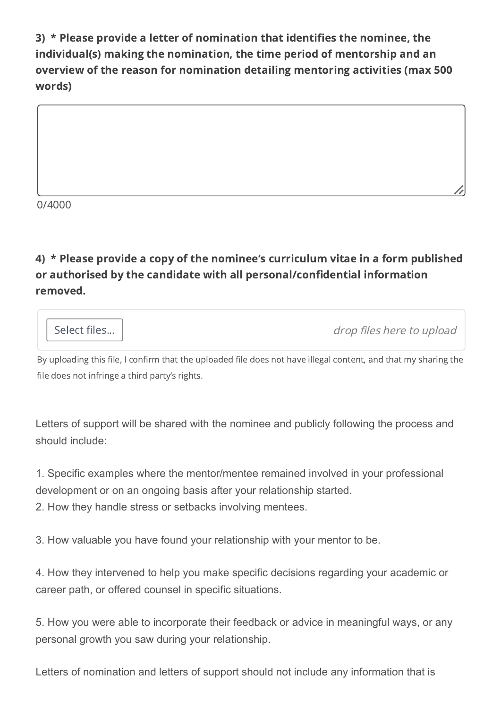3) \* Please provide a letter of nomination that identifies the nominee, the individual(s) making the nomination, the time period of mentorship and an overview of the reason for nomination detailing mentoring activities (max 500 words)



0/4000

4) \* Please provide a copy of the nominee's curriculum vitae in a form published or authorised by the candidate with all personal/confidential information removed.

Select files... | and the set of the select files here to upload

By uploading this file, I confirm that the uploaded file does not have illegal content, and that my sharing the file does not infringe a third party's rights.

Letters of support will be shared with the nominee and publicly following the process and should include:

1. Specific examples where the mentor/mentee remained involved in your professional development or on an ongoing basis after your relationship started.

2. How they handle stress or setbacks involving mentees.

3. How valuable you have found your relationship with your mentor to be.

4. How they intervened to help you make specific decisions regarding your academic or career path, or offered counsel in specific situations.

5. How you were able to incorporate their feedback or advice in meaningful ways, or any personal growth you saw during your relationship.

Letters of nomination and letters of support should not include any information that is